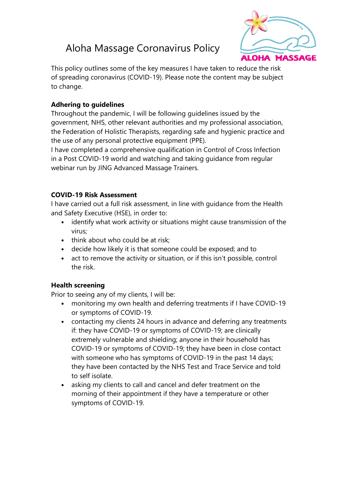# Aloha Massage Coronavirus Policy



This policy outlines some of the key measures I have taken to reduce the risk of spreading coronavirus (COVID-19). Please note the content may be subject to change.

## **Adhering to guidelines**

Throughout the pandemic, I will be following guidelines issued by the government, NHS, other relevant authorities and my professional association, the Federation of Holistic Therapists, regarding safe and hygienic practice and the use of any personal protective equipment (PPE).

I have completed a comprehensive qualification in Control of Cross Infection in a Post COVID-19 world and watching and taking guidance from regular webinar run by JING Advanced Massage Trainers.

## **COVID-19 Risk Assessment**

I have carried out a full risk assessment, in line with guidance from the Health and Safety Executive (HSE), in order to:

- identify what work activity or situations might cause transmission of the virus;
- think about who could be at risk:
- decide how likely it is that someone could be exposed; and to
- act to remove the activity or situation, or if this isn't possible, control the risk.

## **Health screening**

Prior to seeing any of my clients, I will be:

- monitoring my own health and deferring treatments if I have COVID-19 or symptoms of COVID-19.
- contacting my clients 24 hours in advance and deferring any treatments if: they have COVID-19 or symptoms of COVID-19; are clinically extremely vulnerable and shielding; anyone in their household has COVID-19 or symptoms of COVID-19; they have been in close contact with someone who has symptoms of COVID-19 in the past 14 days; they have been contacted by the NHS Test and Trace Service and told to self isolate.
- asking my clients to call and cancel and defer treatment on the morning of their appointment if they have a temperature or other symptoms of COVID-19.